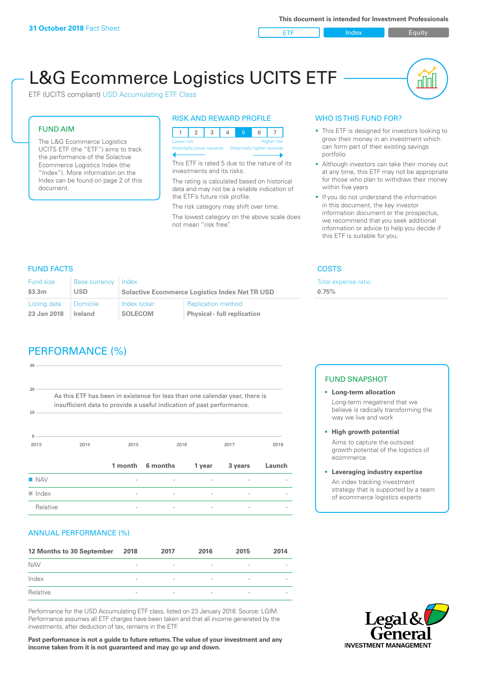ETF Index Buity

u ju

# L&G Ecommerce Logistics UCITS ETF

ETF (UCITS compliant) USD Accumulating ETF Class

### FUND AIM

The L&G Ecommerce Logistics UCITS ETF (the "ETF") aims to track the performance of the Solactive Ecommerce Logistics Index (the "Index"). More information on the Index can be found on page 2 of this document.

### RISK AND REWARD PROFILE

| <b>Higher risk</b><br>Lower risk                     |  |  |  |  |  |  |
|------------------------------------------------------|--|--|--|--|--|--|
| Potentially lower rewards Potentially higher rewards |  |  |  |  |  |  |
|                                                      |  |  |  |  |  |  |

This ETF is rated 5 due to the nature of its investments and its risks.

The rating is calculated based on historical data and may not be a reliable indication of the ETF's future risk profile.

The risk category may shift over time. The lowest category on the above scale does not mean "risk free".

### WHO IS THIS FUND FOR?

- This ETF is designed for investors looking to grow their money in an investment which can form part of their existing savings portfolio
- Although investors can take their money out at any time, this ETF may not be appropriate for those who plan to withdraw their money within five years
- If you do not understand the information in this document, the key investor information document or the prospectus, we recommend that you seek additional information or advice to help you decide if this ETF is suitable for you.

**0.75%**

Total expense ratio

### FUND FACTS COSTS

| Fund size    | <b>Base currency</b> | Index                                                 |                                    |  |
|--------------|----------------------|-------------------------------------------------------|------------------------------------|--|
| \$3.3m       | USD.                 | <b>Solactive Ecommerce Logistics Index Net TR USD</b> |                                    |  |
| Listing date | <b>Domicile</b>      | Index ticker                                          | <b>Replication method</b>          |  |
| 23 Jan 2018  | <b>Ireland</b>       | <b>SOLECOM</b>                                        | <b>Physical - full replication</b> |  |

## PERFORMANCE (%)

| 30                   |                                                                                                                                                      |                          |          |        |         |        |
|----------------------|------------------------------------------------------------------------------------------------------------------------------------------------------|--------------------------|----------|--------|---------|--------|
| 20<br>10             | As this ETF has been in existence for less than one calendar year, there is<br>insufficient data to provide a useful indication of past performance. |                          |          |        |         |        |
| $\Omega$<br>2013     | 2014                                                                                                                                                 | 2015                     |          | 2016   |         | 2018   |
|                      |                                                                                                                                                      | 1 month                  | 6 months | 1 year | 3 years | Launch |
| $\blacksquare$ NAV   |                                                                                                                                                      |                          |          |        |         |        |
| $\blacksquare$ Index |                                                                                                                                                      | $\overline{\phantom{0}}$ |          | -      |         |        |
| Relative             |                                                                                                                                                      |                          |          |        |         |        |

### ANNUAL PERFORMANCE (%)

| 12 Months to 30 September | 2018                     | 2017                     | 2016                     | 2015            | 2014 |
|---------------------------|--------------------------|--------------------------|--------------------------|-----------------|------|
| <b>NAV</b>                | $\overline{\phantom{a}}$ | $\overline{\phantom{a}}$ | $\overline{\phantom{a}}$ | $\qquad \qquad$ |      |
| Index                     | $\overline{\phantom{a}}$ | $\qquad \qquad$          | $\overline{\phantom{a}}$ | $\qquad \qquad$ |      |
| Relative                  | $\overline{\phantom{a}}$ | $\overline{\phantom{a}}$ |                          | $\qquad \qquad$ |      |

Performance for the USD Accumulating ETF class, listed on 23 January 2018. Source: LGIM. Performance assumes all ETF charges have been taken and that all income generated by the investments, after deduction of tax, remains in the ETF.

**Past performance is not a guide to future returns. The value of your investment and any income taken from it is not guaranteed and may go up and down.**

### FUND SNAPSHOT

- **• Long-term allocation** Long-term megatrend that we believe is radically transforming the way we live and work
- **• High growth potential**

Aims to capture the outsized growth potential of the logistics of ecommerce

#### **• Leveraging industry expertise**

An index tracking investment strategy that is supported by a team of ecommerce logistics experts

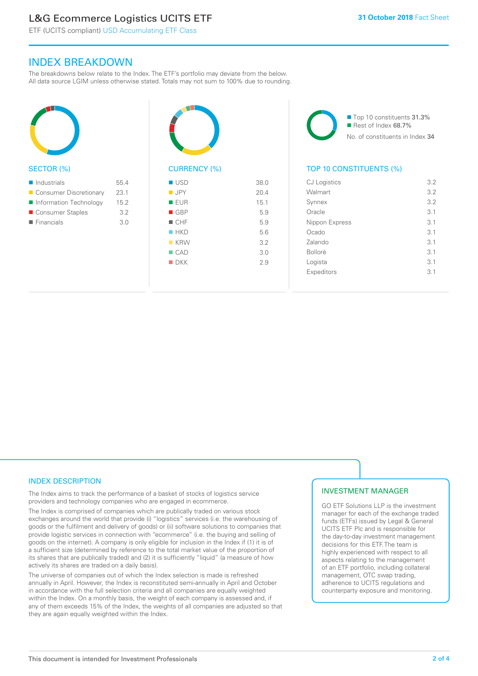### L&G Ecommerce Logistics UCITS ETF

ETF (UCITS compliant) USD Accumulating ETF Class

### INDEX BREAKDOWN

The breakdowns below relate to the Index. The ETF's portfolio may deviate from the below. All data source LGIM unless otherwise stated. Totals may not sum to 100% due to rounding.



### SECTOR (%)

| $\blacksquare$ Industrials | 55.4 |
|----------------------------|------|
| ■ Consumer Discretionary   | 23.1 |
| Information Technology     | 15.2 |
| ■ Consumer Staples         | 3.2  |
| $\blacksquare$ Financials  | 3 O  |
|                            |      |



### CURRENCY (%)

| ■ USD              | 38.0 |
|--------------------|------|
| $\blacksquare$ JPY | 20.4 |
| <b>EUR</b>         | 15.1 |
| $\blacksquare$ GBP | 5.9  |
| $\blacksquare$ CHF | 5.9  |
| HKD                | 5.6  |
| $K$ KRW            | 3.2  |
| $\Box$ CAD         | 3.0  |
| $\blacksquare$ DKK | 2.9  |
|                    |      |

■ Top 10 constituents 31.3% Rest of Index 68.7% No. of constituents in Index 34

### TOP 10 CONSTITUENTS (%)

| <b>CJ</b> Logistics | 3.2 |
|---------------------|-----|
| Walmart             | 3.2 |
| Synnex              | 3.2 |
| Oracle              | 3.1 |
| Nippon Express      | 3.1 |
| Ocado               | 3.1 |
| Zalando             | 3.1 |
| <b>Bolloré</b>      | 3.1 |
| Logista             | 3.1 |
| Expeditors          | 3.1 |
|                     |     |

### INDEX DESCRIPTION

The Index aims to track the performance of a basket of stocks of logistics service providers and technology companies who are engaged in ecommerce.

The Index is comprised of companies which are publically traded on various stock exchanges around the world that provide (i) "logistics" services (i.e. the warehousing of goods or the fulfilment and delivery of goods) or (ii) software solutions to companies that provide logistic services in connection with "ecommerce" (i.e. the buying and selling of goods on the internet). A company is only eligible for inclusion in the Index if (1) it is of a sufficient size (determined by reference to the total market value of the proportion of its shares that are publically traded) and (2) it is sufficiently "liquid" (a measure of how actively its shares are traded on a daily basis).

The universe of companies out of which the Index selection is made is refreshed annually in April. However, the Index is reconstituted semi-annually in April and October in accordance with the full selection criteria and all companies are equally weighted within the Index. On a monthly basis, the weight of each company is assessed and, if any of them exceeds 15% of the Index, the weights of all companies are adjusted so that they are again equally weighted within the Index.

### INVESTMENT MANAGER

GO ETF Solutions LLP is the investment manager for each of the exchange traded funds (ETFs) issued by Legal & General UCITS ETF Plc and is responsible for the day-to-day investment management decisions for this ETF. The team is highly experienced with respect to all aspects relating to the management of an ETF portfolio, including collateral management, OTC swap trading, adherence to UCITS regulations and counterparty exposure and monitoring.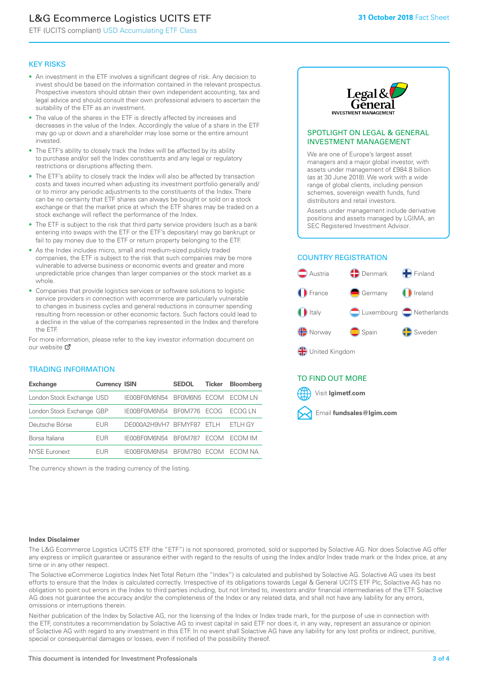### L&G Ecommerce Logistics UCITS ETF

ETF (UCITS compliant) USD Accumulating ETF Class

### KEY RISKS

- An investment in the ETF involves a significant degree of risk. Any decision to invest should be based on the information contained in the relevant prospectus. Prospective investors should obtain their own independent accounting, tax and legal advice and should consult their own professional advisers to ascertain the suitability of the ETF as an investment.
- The value of the shares in the ETF is directly affected by increases and decreases in the value of the Index. Accordingly the value of a share in the ETF may go up or down and a shareholder may lose some or the entire amount invested.
- The ETF's ability to closely track the Index will be affected by its ability to purchase and/or sell the Index constituents and any legal or regulatory restrictions or disruptions affecting them.
- The ETF's ability to closely track the Index will also be affected by transaction costs and taxes incurred when adjusting its investment portfolio generally and/ or to mirror any periodic adjustments to the constituents of the Index. There can be no certainty that ETF shares can always be bought or sold on a stock exchange or that the market price at which the ETF shares may be traded on a stock exchange will reflect the performance of the Index.
- The ETF is subject to the risk that third party service providers (such as a bank entering into swaps with the ETF or the ETF's depositary) may go bankrupt or fail to pay money due to the ETF or return property belonging to the ETF.
- As the Index includes micro, small and medium-sized publicly traded companies, the ETF is subject to the risk that such companies may be more vulnerable to adverse business or economic events and greater and more unpredictable price changes than larger companies or the stock market as a whole.
- Companies that provide logistics services or software solutions to logistic service providers in connection with ecommerce are particularly vulnerable to changes in business cycles and general reductions in consumer spending resulting from recession or other economic factors. Such factors could lead to a decline in the value of the companies represented in the Index and therefore the ETF.

For more in[form](https://www.lgimetf.com/)ation, please refer to the key investor information document on our website ぴ

### TRADING INFORMATION

| <b>Exchange</b>           | <b>Currency ISIN</b> |                           | <b>SEDOL</b>   | <b>Ticker</b> | <b>Bloomberg</b> |
|---------------------------|----------------------|---------------------------|----------------|---------------|------------------|
| London Stock Exchange USD |                      | IE00BF0M6N54              | BFOM6N5 ECOM   |               | ECOM I N         |
| London Stock Exchange GBP |                      | IE00BF0M6N54              | <b>BF0M776</b> | <b>FCOG</b>   | FCOG IN          |
| Deutsche Börse            | <b>EUR</b>           | DE000A2H9VH7 BFMYF87 ETLH |                |               | ETLH GY          |
| Borsa Italiana            | EUR                  | IE00BF0M6N54              | <b>BF0M787</b> | <b>FCOM</b>   | ECOM IM          |
| <b>NYSE Euronext</b>      | <b>FUR</b>           | IF00BF0M6N54              | BF0M7B0        | <b>FCOM</b>   | FCOM NA          |

The currency shown is the trading currency of the listing.



### SPOTLIGHT ON LEGAL & GENERAL INVESTMENT MANAGEMENT

We are one of Europe's largest asset managers and a major global investor, with assets under management of £984.8 billion (as at 30 June 2018). We work with a wide range of global clients, including pension schemes, sovereign wealth funds, fund distributors and retail investors.

Assets under management include derivative positions and assets managed by LGIMA, an SEC Registered Investment Advisor.

### COUNTRY REGISTRATION



### TO FIND OUT MORE

Visit **lgimetf.com**



#### **Index Disclaimer**

The L&G Ecommerce Logistics UCITS ETF (the "ETF") is not sponsored, promoted, sold or supported by Solactive AG. Nor does Solactive AG offer any express or implicit guarantee or assurance either with regard to the results of using the Index and/or Index trade mark or the Index price, at any time or in any other respect.

The Solactive eCommerce Logistics Index Net Total Return (the "Index") is calculated and published by Solactive AG. Solactive AG uses its best efforts to ensure that the Index is calculated correctly. Irrespective of its obligations towards Legal & General UCITS ETF Plc, Solactive AG has no obligation to point out errors in the Index to third parties including, but not limited to, investors and/or financial intermediaries of the ETF. Solactive AG does not guarantee the accuracy and/or the completeness of the Index or any related data, and shall not have any liability for any errors, omissions or interruptions therein.

Neither publication of the Index by Solactive AG, nor the licensing of the Index or Index trade mark, for the purpose of use in connection with the ETF, constitutes a recommendation by Solactive AG to invest capital in said ETF nor does it, in any way, represent an assurance or opinion of Solactive AG with regard to any investment in this ETF. In no event shall Solactive AG have any liability for any lost profits or indirect, punitive, special or consequential damages or losses, even if notified of the possibility thereof.